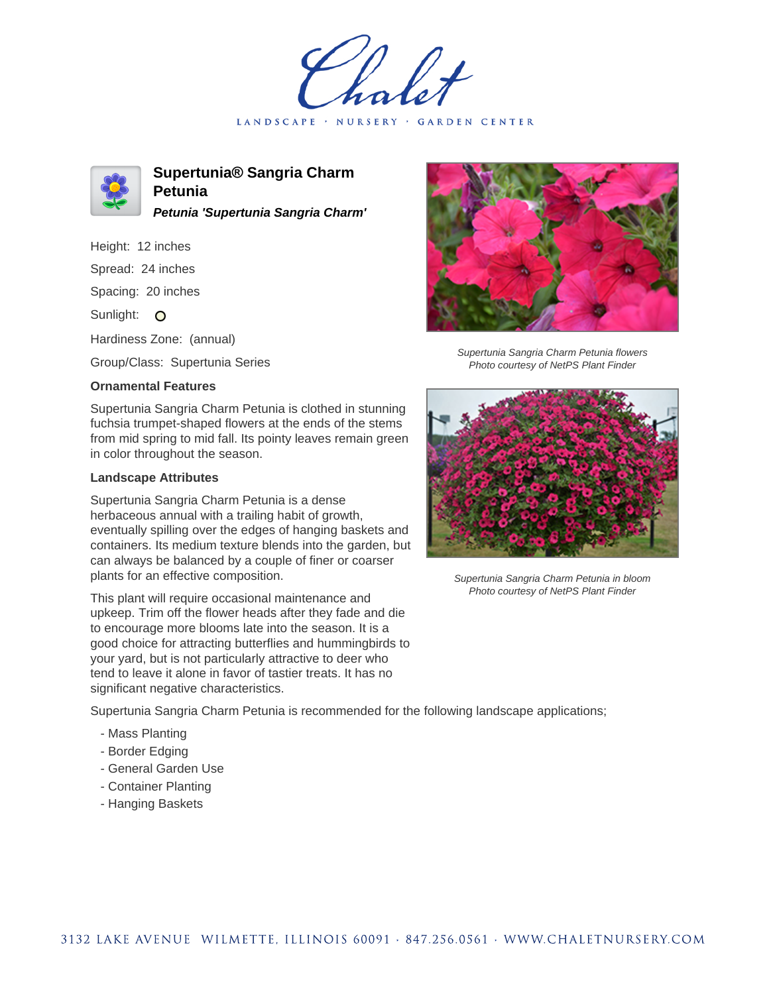LANDSCAPE · NURSERY · GARDEN CENTER



**Supertunia® Sangria Charm Petunia Petunia 'Supertunia Sangria Charm'**

Height: 12 inches Spread: 24 inches Spacing: 20 inches Sunlight: O

Hardiness Zone: (annual)

Group/Class: Supertunia Series

## **Ornamental Features**

Supertunia Sangria Charm Petunia is clothed in stunning fuchsia trumpet-shaped flowers at the ends of the stems from mid spring to mid fall. Its pointy leaves remain green in color throughout the season.

## **Landscape Attributes**

Supertunia Sangria Charm Petunia is a dense herbaceous annual with a trailing habit of growth, eventually spilling over the edges of hanging baskets and containers. Its medium texture blends into the garden, but can always be balanced by a couple of finer or coarser plants for an effective composition.

This plant will require occasional maintenance and upkeep. Trim off the flower heads after they fade and die to encourage more blooms late into the season. It is a good choice for attracting butterflies and hummingbirds to your yard, but is not particularly attractive to deer who tend to leave it alone in favor of tastier treats. It has no significant negative characteristics.

Supertunia Sangria Charm Petunia is recommended for the following landscape applications;

- Mass Planting
- Border Edging
- General Garden Use
- Container Planting
- Hanging Baskets



Supertunia Sangria Charm Petunia flowers Photo courtesy of NetPS Plant Finder



Supertunia Sangria Charm Petunia in bloom Photo courtesy of NetPS Plant Finder